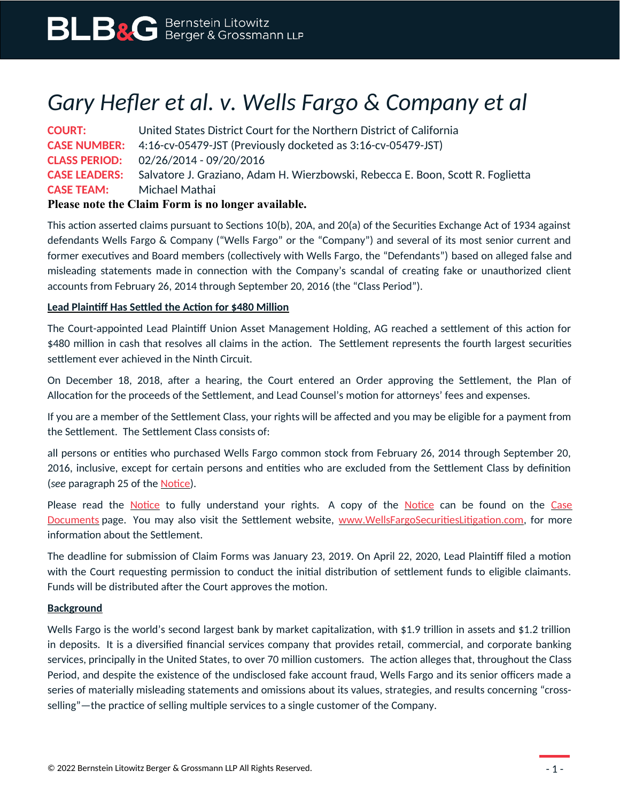## *Gary Hefler et al. v. Wells Fargo & Company et al*

**COURT:** United States District Court for the Northern District of California **CASE NUMBER:** 4:16-cv-05479-JST (Previously docketed as 3:16-cv-05479-JST) **CLASS PERIOD:** 02/26/2014 - 09/20/2016 **CASE LEADERS:** Salvatore J. Graziano, Adam H. Wierzbowski, Rebecca E. Boon, Scott R. Foglietta **CASE TEAM:** Michael Mathai **Please note the Claim Form is no longer available.**

This action asserted claims pursuant to Sections 10(b), 20A, and 20(a) of the Securities Exchange Act of 1934 against defendants Wells Fargo & Company ("Wells Fargo" or the "Company") and several of its most senior current and former executives and Board members (collectively with Wells Fargo, the "Defendants") based on alleged false and misleading statements made in connection with the Company's scandal of creating fake or unauthorized client accounts from February 26, 2014 through September 20, 2016 (the "Class Period").

## **Lead Plaintiff Has Settled the Action for \$480 Million**

The Court-appointed Lead Plaintiff Union Asset Management Holding, AG reached a settlement of this action for \$480 million in cash that resolves all claims in the action. The Settlement represents the fourth largest securities settlement ever achieved in the Ninth Circuit.

On December 18, 2018, after a hearing, the Court entered an Order approving the Settlement, the Plan of Allocation for the proceeds of the Settlement, and Lead Counsel's motion for attorneys' fees and expenses.

If you are a member of the Settlement Class, your rights will be affected and you may be eligible for a payment from the Settlement. The Settlement Class consists of:

all persons or entities who purchased Wells Fargo common stock from February 26, 2014 through September 20, 2016, inclusive, except for certain persons and entities who are excluded from the Settlement Class by definition (*see* paragraph 25 of the [Notice\)](https://www.blbglaw.com/cases/wells-fargo-company/_res/id=Attachments/index=0/Wells%20Fargo%20Securities%20-%20Notice.pdf).

Please read the [Notice](https://www.blbglaw.com/cases/wells-fargo-company/_res/id=Attachments/index=0/Wells%20Fargo%20Securities%20-%20Notice.pdf) to fully understand your rights. A copy of the Notice can be found on the [Case](https://www.blbglaw.com/cases/wells-fargo-company?viewDocs=1) [Documents](https://www.blbglaw.com/cases/wells-fargo-company?viewDocs=1) page. You may also visit the Settlement website, [www.WellsFargoSecuritiesLitigation.com](http://www.WellsFargoSecuritiesLitigation.com/), for more information about the Settlement.

The deadline for submission of Claim Forms was January 23, 2019. On April 22, 2020, Lead Plaintiff filed a motion with the Court requesting permission to conduct the initial distribution of settlement funds to eligible claimants. Funds will be distributed after the Court approves the motion.

## **Background**

Wells Fargo is the world's second largest bank by market capitalization, with \$1.9 trillion in assets and \$1.2 trillion in deposits. It is a diversified financial services company that provides retail, commercial, and corporate banking services, principally in the United States, to over 70 million customers. The action alleges that, throughout the Class Period, and despite the existence of the undisclosed fake account fraud, Wells Fargo and its senior officers made a series of materially misleading statements and omissions about its values, strategies, and results concerning "crossselling"—the practice of selling multiple services to a single customer of the Company.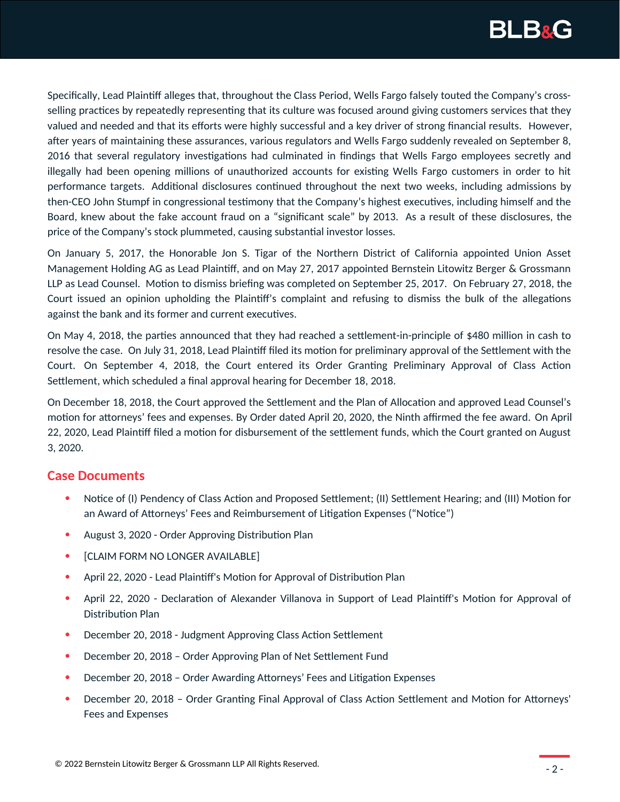

Specifically, Lead Plaintiff alleges that, throughout the Class Period, Wells Fargo falsely touted the Company's crossselling practices by repeatedly representing that its culture was focused around giving customers services that they valued and needed and that its efforts were highly successful and a key driver of strong financial results. However, after years of maintaining these assurances, various regulators and Wells Fargo suddenly revealed on September 8, 2016 that several regulatory investigations had culminated in findings that Wells Fargo employees secretly and illegally had been opening millions of unauthorized accounts for existing Wells Fargo customers in order to hit performance targets. Additional disclosures continued throughout the next two weeks, including admissions by then-CEO John Stumpf in congressional testimony that the Company's highest executives, including himself and the Board, knew about the fake account fraud on a "significant scale" by 2013. As a result of these disclosures, the price of the Company's stock plummeted, causing substantial investor losses.

On January 5, 2017, the Honorable Jon S. Tigar of the Northern District of California appointed Union Asset Management Holding AG as Lead Plaintiff, and on May 27, 2017 appointed Bernstein Litowitz Berger & Grossmann LLP as Lead Counsel. Motion to dismiss briefing was completed on September 25, 2017. On February 27, 2018, the Court issued an opinion upholding the Plaintiff's complaint and refusing to dismiss the bulk of the allegations against the bank and its former and current executives.

On May 4, 2018, the parties announced that they had reached a settlement-in-principle of \$480 million in cash to resolve the case. On July 31, 2018, Lead Plaintiff filed its motion for preliminary approval of the Settlement with the Court. On September 4, 2018, the Court entered its Order Granting Preliminary Approval of Class Action Settlement, which scheduled a final approval hearing for December 18, 2018.

On December 18, 2018, the Court approved the Settlement and the Plan of Allocation and approved Lead Counsel's motion for attorneys' fees and expenses. By Order dated April 20, 2020, the Ninth affirmed the fee award. On April 22, 2020, Lead Plaintiff filed a motion for disbursement of the settlement funds, which the Court granted on August 3, 2020.

## **Case Documents**

- Notice of (I) Pendency of Class Action and Proposed Settlement; (II) Settlement Hearing; and (III) Motion for an Award of Attorneys' Fees and Reimbursement of Litigation Expenses ("Notice")
- August 3, 2020 Order Approving Distribution Plan
- [CLAIM FORM NO LONGER AVAILABLE]
- April 22, 2020 Lead Plaintiff's Motion for Approval of Distribution Plan
- April 22, 2020 Declaration of Alexander Villanova in Support of Lead Plaintiff's Motion for Approval of Distribution Plan
- December 20, 2018 Judgment Approving Class Action Settlement
- December 20, 2018 Order Approving Plan of Net Settlement Fund
- December 20, 2018 Order Awarding Attorneys' Fees and Litigation Expenses
- December 20, 2018 Order Granting Final Approval of Class Action Settlement and Motion for Attorneys' Fees and Expenses